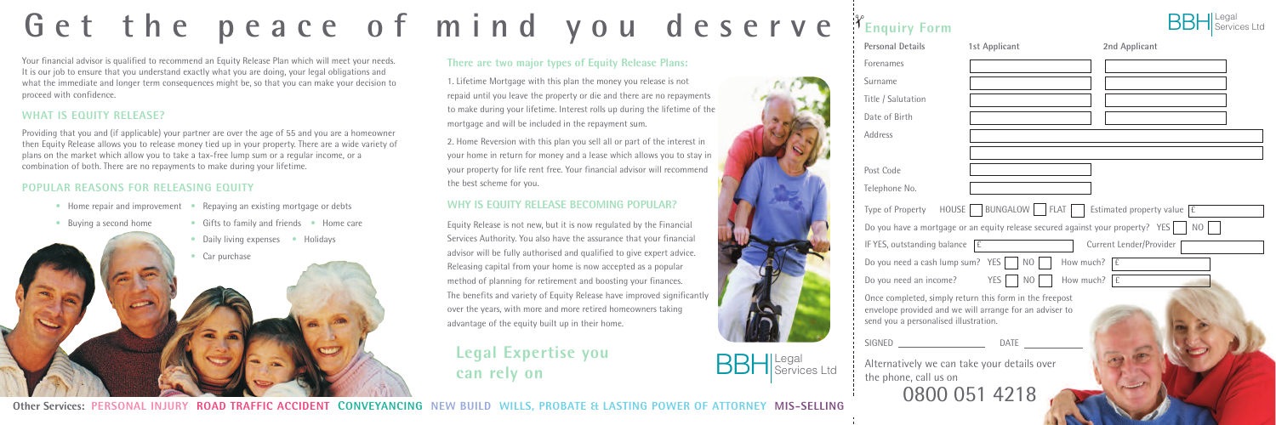

Other Services: PERSONAL INJURY ROAD TRAFFIC ACCIDENT CONVEYANCING NEW BUILD WILLS. PROBATE & LASTING POWER OF ATTORNEY MIS-SELLING

# Get the peace of mind you deserve

Your financial advisor is qualified to recommend an Equity Release Plan which will meet your needs. It is our job to ensure that you understand exactly what you are doing, your legal obligations and what the immediate and longer term consequences might be, so that you can make your decision to proceed with confidence.

#### **WHAT IS EQUITY RELEASE?**

- Buying a second home Gifts to family and friends Home care
	- Daily living expenses Holidays
	- Car purchase

Providing that you and (if applicable) your partner are over the age of 55 and you are a homeowner then Equity Release allows you to release money tied up in your property. There are a wide variety of plans on the market which allow you to take a tax-free lump sum or a regular income, or a combination of both. There are no repayments to make during your lifetime.

#### **POPULAR REASONS FOR RELEASING EQUITY**

- 
- Home repair and improvement Repaying an existing mortgage or debts
- 

EQUITY RELEASE PLANS

#### **There are two major types of Equity Release Plans:**

1. Lifetime Mortgage with this plan the money you release is not repaid until you leave the property or die and there are no repayments to make during your lifetime. Interest rolls up during the lifetime of the mortgage and will be included in the repayment sum.

2. Home Reversion with this plan you sell all or part of the interest in your home in return for money and a lease which allows you to stay in your property for life rent free. Your financial advisor will recommend the best scheme for you.

#### **WHY IS EQUITY RELEASE BECOMING POPULAR?**

Equity Release is not new, but it is now regulated by the Financial Services Authority. You also have the assurance that your financial advisor will be fully authorised and qualified to give expert advice. Releasing capital from your home is now accepted as a popular method of planning for retirement and boosting your finances. The benefits and variety of Equity Release have improved significantly over the years, with more and more retired homeowners taking advantage of the equity built up in their home.

### **Legal Expertise you can rely on**



| <b>Personal Details</b>                                                                                                         | 1st Applicant                                                                                                      | 2nd Applicant           |
|---------------------------------------------------------------------------------------------------------------------------------|--------------------------------------------------------------------------------------------------------------------|-------------------------|
| Forenames                                                                                                                       |                                                                                                                    |                         |
| Surname                                                                                                                         |                                                                                                                    |                         |
| Title / Salutation                                                                                                              |                                                                                                                    |                         |
| Date of Birth                                                                                                                   |                                                                                                                    |                         |
| Address                                                                                                                         |                                                                                                                    |                         |
|                                                                                                                                 |                                                                                                                    |                         |
| Post Code                                                                                                                       |                                                                                                                    |                         |
| Telephone No.                                                                                                                   |                                                                                                                    |                         |
| HOUSE<br>Type of Property                                                                                                       | BUNGALOW     FLAT   Estimated property value $\boxed{f}$                                                           |                         |
|                                                                                                                                 | Do you have a mortgage or an equity release secured against your property? YES                                     | N <sub>O</sub>          |
| IF YES, outstanding balance                                                                                                     | E                                                                                                                  | Current Lender/Provider |
| Do you need a cash lump sum? YES                                                                                                | N <sub>O</sub><br>How much?                                                                                        | £                       |
| Do you need an income?                                                                                                          | How much? $\mathbf{f}$<br><b>YES</b><br>N <sub>O</sub>                                                             |                         |
| send you a personalised illustration.                                                                                           | Once completed, simply return this form in the freepost<br>envelope provided and we will arrange for an adviser to |                         |
| <u> 1990 - John Harry Harry Harry Harry Harry Harry Harry Harry Harry Harry Harry Harry Harry Harry Harry Harry H</u><br>SIGNED | <b>DATE</b>                                                                                                        |                         |
| Alternatively we can take your details over<br>the phone, call us on                                                            | 0800 051 4218                                                                                                      |                         |

**E HING COMPANY** 

# **Enquiry Form** ✁

BBH Services Ltd